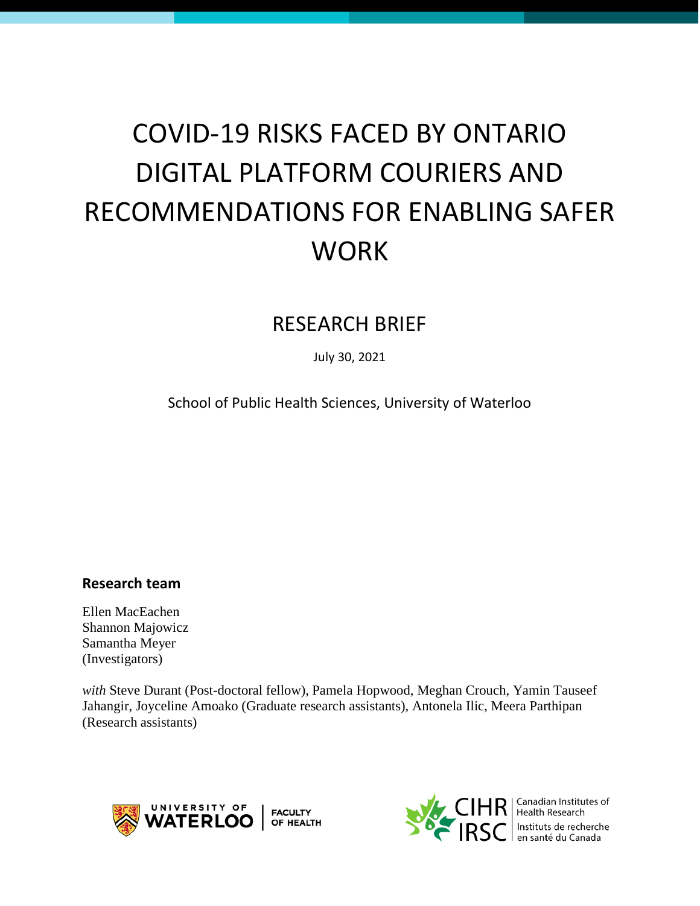# COVID-19 RISKS FACED BY ONTARIO DIGITAL PLATFORM COURIERS AND RECOMMENDATIONS FOR ENABLING SAFER **WORK**

# RESEARCH BRIEF

July 30, 2021

School of Public Health Sciences, University of Waterloo

# **Research team**

Ellen MacEachen Shannon Majowicz Samantha Meyer (Investigators)

*with* Steve Durant (Post-doctoral fellow), Pamela Hopwood, Meghan Crouch, Yamin Tauseef Jahangir, Joyceline Amoako (Graduate research assistants), Antonela Ilic, Meera Parthipan (Research assistants)





 $\mathsf{IR}$   $\vert$  Canadian Institutes of Instituts de recherche en santé du Canada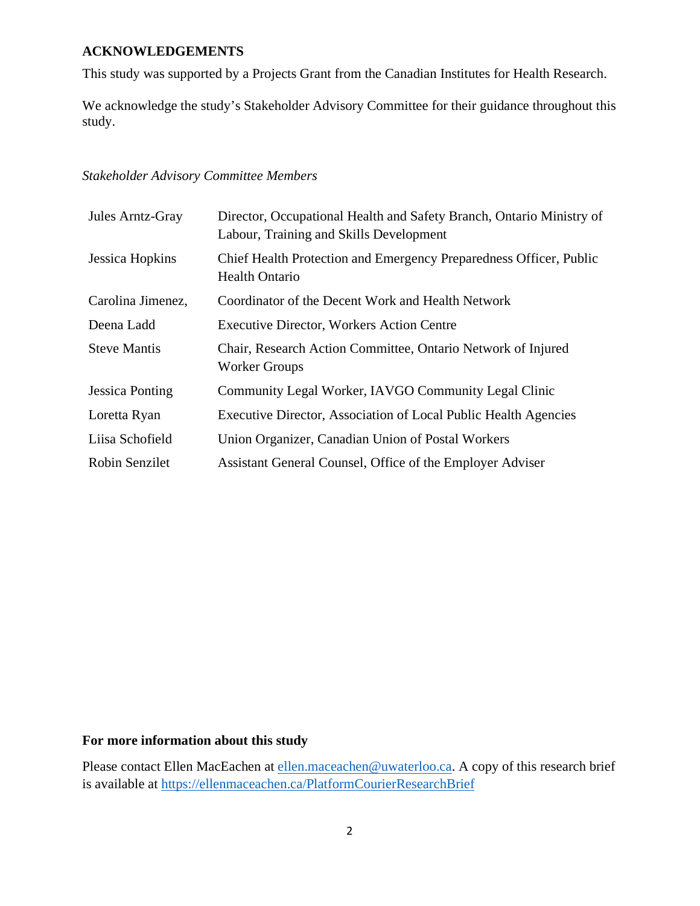# **ACKNOWLEDGEMENTS**

This study was supported by a Projects Grant from the Canadian Institutes for Health Research.

We acknowledge the study's Stakeholder Advisory Committee for their guidance throughout this study.

# *Stakeholder Advisory Committee Members*

| Jules Arntz-Gray       | Director, Occupational Health and Safety Branch, Ontario Ministry of<br>Labour, Training and Skills Development |
|------------------------|-----------------------------------------------------------------------------------------------------------------|
| Jessica Hopkins        | Chief Health Protection and Emergency Preparedness Officer, Public<br><b>Health Ontario</b>                     |
| Carolina Jimenez,      | Coordinator of the Decent Work and Health Network                                                               |
| Deena Ladd             | <b>Executive Director, Workers Action Centre</b>                                                                |
| <b>Steve Mantis</b>    | Chair, Research Action Committee, Ontario Network of Injured<br><b>Worker Groups</b>                            |
| <b>Jessica Ponting</b> | Community Legal Worker, IAVGO Community Legal Clinic                                                            |
| Loretta Ryan           | Executive Director, Association of Local Public Health Agencies                                                 |
| Liisa Schofield        | Union Organizer, Canadian Union of Postal Workers                                                               |
| Robin Senzilet         | Assistant General Counsel, Office of the Employer Adviser                                                       |

# **For more information about this study**

Please contact Ellen MacEachen at [ellen.maceachen@uwaterloo.ca.](mailto:ellen.maceachen@uwaterloo.ca) A copy of this research brief is available at <https://ellenmaceachen.ca/PlatformCourierResearchBrief>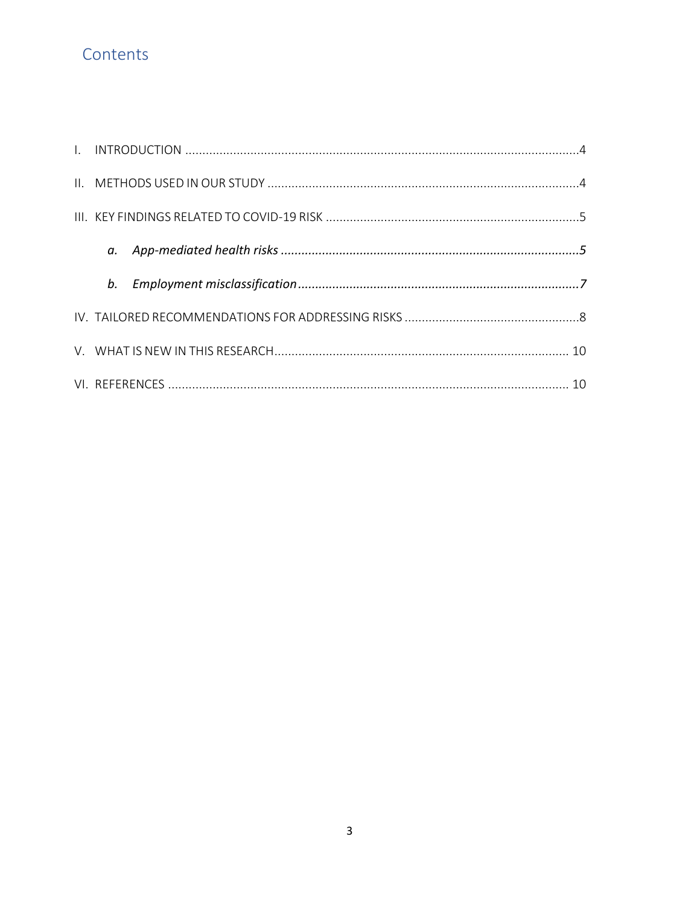# Contents

| b. |  |
|----|--|
|    |  |
|    |  |
|    |  |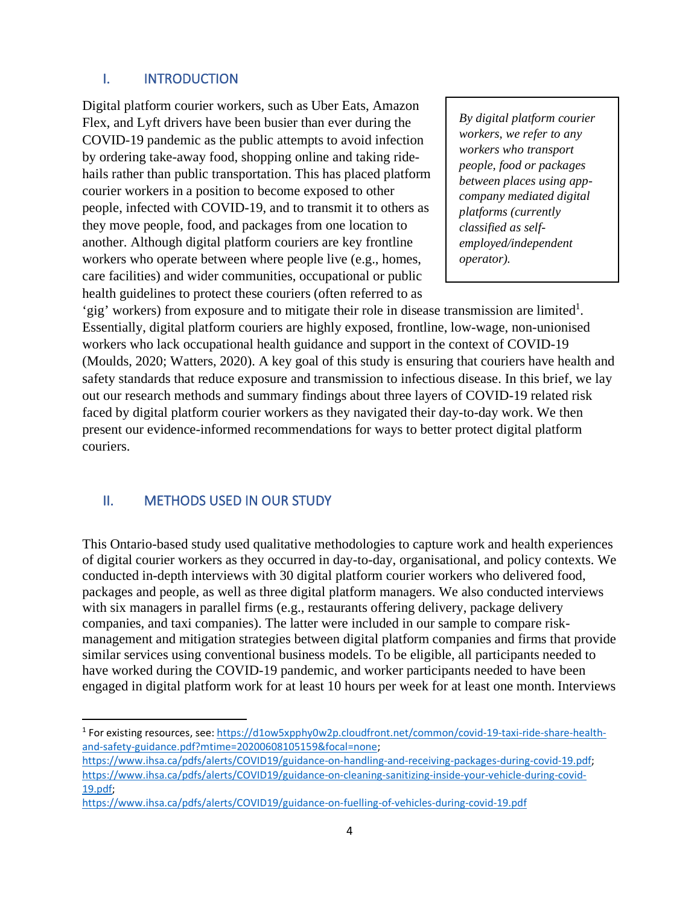# <span id="page-3-0"></span>I. INTRODUCTION

Digital platform courier workers, such as Uber Eats, Amazon Flex, and Lyft drivers have been busier than ever during the COVID-19 pandemic as the public attempts to avoid infection by ordering take-away food, shopping online and taking ridehails rather than public transportation. This has placed platform courier workers in a position to become exposed to other people, infected with COVID-19, and to transmit it to others as they move people, food, and packages from one location to another. Although digital platform couriers are key frontline workers who operate between where people live (e.g., homes, care facilities) and wider communities, occupational or public health guidelines to protect these couriers (often referred to as

*By digital platform courier workers, we refer to any workers who transport people, food or packages between places using appcompany mediated digital platforms (currently classified as selfemployed/independent operator).*

'gig' workers) from exposure and to mitigate their role in disease transmission are limited<sup>1</sup>. Essentially, digital platform couriers are highly exposed, frontline, low-wage, non-unionised workers who lack occupational health guidance and support in the context of COVID-19 (Moulds, 2020; Watters, 2020). A key goal of this study is ensuring that couriers have health and safety standards that reduce exposure and transmission to infectious disease. In this brief, we lay out our research methods and summary findings about three layers of COVID-19 related risk faced by digital platform courier workers as they navigated their day-to-day work. We then present our evidence-informed recommendations for ways to better protect digital platform couriers.

# <span id="page-3-1"></span>II. METHODS USED IN OUR STUDY

This Ontario-based study used qualitative methodologies to capture work and health experiences of digital courier workers as they occurred in day-to-day, organisational, and policy contexts. We conducted in-depth interviews with 30 digital platform courier workers who delivered food, packages and people, as well as three digital platform managers. We also conducted interviews with six managers in parallel firms (e.g., restaurants offering delivery, package delivery companies, and taxi companies). The latter were included in our sample to compare riskmanagement and mitigation strategies between digital platform companies and firms that provide similar services using conventional business models. To be eligible, all participants needed to have worked during the COVID-19 pandemic, and worker participants needed to have been engaged in digital platform work for at least 10 hours per week for at least one month. Interviews

<sup>1</sup> For existing resources, see[: https://d1ow5xpphy0w2p.cloudfront.net/common/covid-19-taxi-ride-share-health](https://d1ow5xpphy0w2p.cloudfront.net/common/covid-19-taxi-ride-share-health-and-safety-guidance.pdf?mtime=20200608105159&focal=none)[and-safety-guidance.pdf?mtime=20200608105159&focal=none;](https://d1ow5xpphy0w2p.cloudfront.net/common/covid-19-taxi-ride-share-health-and-safety-guidance.pdf?mtime=20200608105159&focal=none)

[https://www.ihsa.ca/pdfs/alerts/COVID19/guidance-on-handling-and-receiving-packages-during-covid-19.pdf;](https://www.ihsa.ca/pdfs/alerts/COVID19/guidance-on-handling-and-receiving-packages-during-covid-19.pdf)  [https://www.ihsa.ca/pdfs/alerts/COVID19/guidance-on-cleaning-sanitizing-inside-your-vehicle-during-covid-](https://www.ihsa.ca/pdfs/alerts/COVID19/guidance-on-cleaning-sanitizing-inside-your-vehicle-during-covid-19.pdf)[19.pdf;](https://www.ihsa.ca/pdfs/alerts/COVID19/guidance-on-cleaning-sanitizing-inside-your-vehicle-during-covid-19.pdf)

<https://www.ihsa.ca/pdfs/alerts/COVID19/guidance-on-fuelling-of-vehicles-during-covid-19.pdf>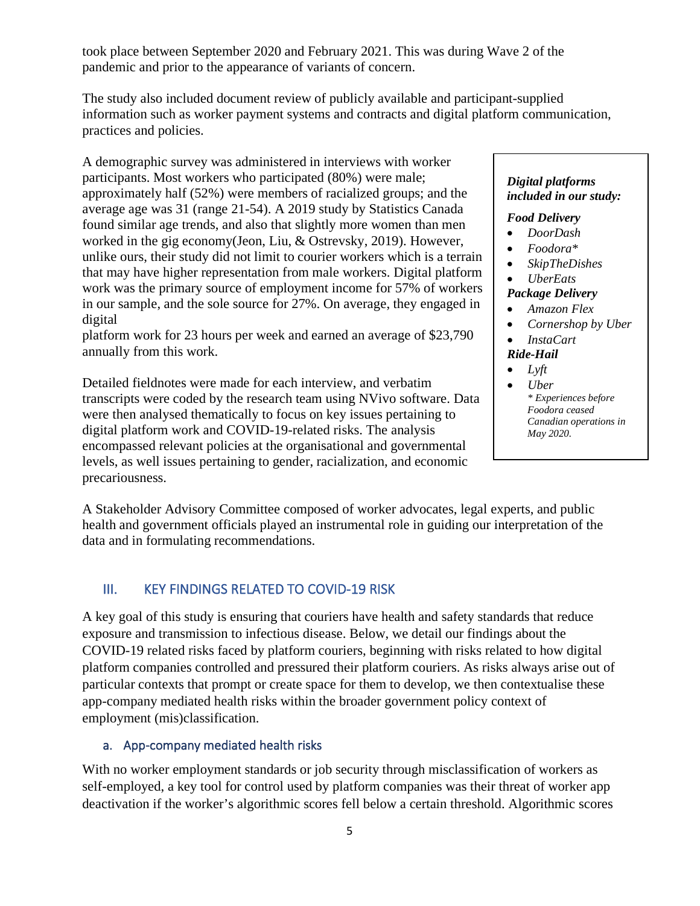took place between September 2020 and February 2021. This was during Wave 2 of the pandemic and prior to the appearance of variants of concern.

The study also included document review of publicly available and participant-supplied information such as worker payment systems and contracts and digital platform communication, practices and policies.

A demographic survey was administered in interviews with worker participants. Most workers who participated (80%) were male; approximately half (52%) were members of racialized groups; and the average age was 31 (range 21-54). A 2019 study by Statistics Canada found similar age trends, and also that slightly more women than men worked in the gig economy(Jeon, Liu, & Ostrevsky, 2019). However, unlike ours, their study did not limit to courier workers which is a terrain that may have higher representation from male workers. Digital platform work was the primary source of employment income for 57% of workers in our sample, and the sole source for 27%. On average, they engaged in digital

platform work for 23 hours per week and earned an average of \$23,790 annually from this work.

Detailed fieldnotes were made for each interview, and verbatim transcripts were coded by the research team using NVivo software. Data were then analysed thematically to focus on key issues pertaining to digital platform work and COVID-19-related risks. The analysis encompassed relevant policies at the organisational and governmental levels, as well issues pertaining to gender, racialization, and economic precariousness.

#### *Digital platforms included in our study:*

#### *Food Delivery*

- *DoorDash*
- *Foodora\**
- *SkipTheDishes*

#### • *UberEats Package Delivery*

- *Amazon Flex*
- *Cornershop by Uber*
- *InstaCart*
- *Ride-Hail*
- *Lyft*
- *Uber \* Experiences before Foodora ceased Canadian operations in May 2020.*

A Stakeholder Advisory Committee composed of worker advocates, legal experts, and public health and government officials played an instrumental role in guiding our interpretation of the data and in formulating recommendations.

# <span id="page-4-0"></span>III. KEY FINDINGS RELATED TO COVID-19 RISK

A key goal of this study is ensuring that couriers have health and safety standards that reduce exposure and transmission to infectious disease. Below, we detail our findings about the COVID-19 related risks faced by platform couriers, beginning with risks related to how digital platform companies controlled and pressured their platform couriers. As risks always arise out of particular contexts that prompt or create space for them to develop, we then contextualise these app-company mediated health risks within the broader government policy context of employment (mis)classification.

# <span id="page-4-1"></span>a. App-company mediated health risks

With no worker employment standards or job security through misclassification of workers as self-employed, a key tool for control used by platform companies was their threat of worker app deactivation if the worker's algorithmic scores fell below a certain threshold. Algorithmic scores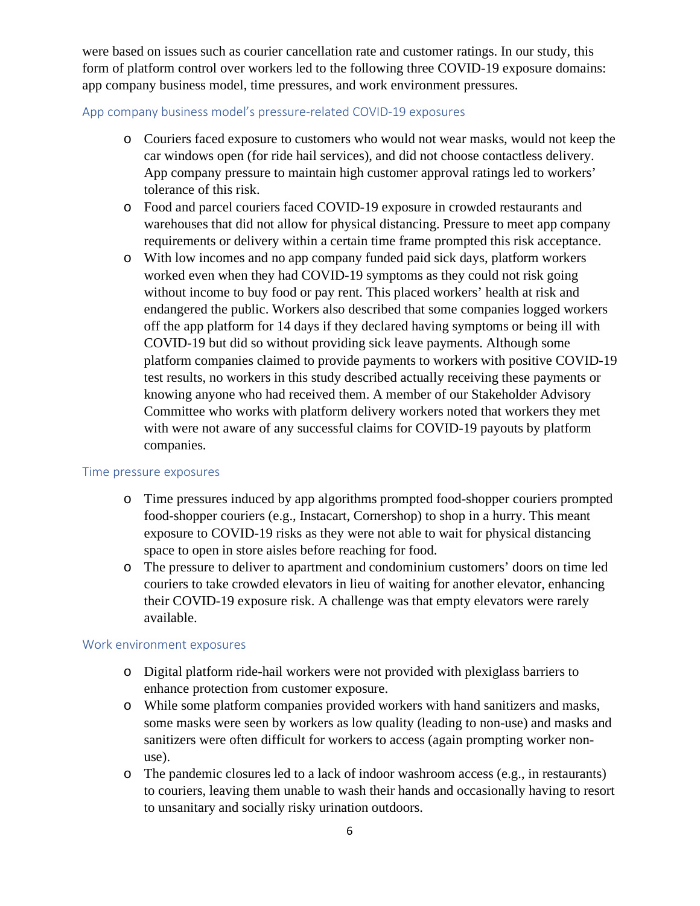were based on issues such as courier cancellation rate and customer ratings. In our study, this form of platform control over workers led to the following three COVID-19 exposure domains: app company business model, time pressures, and work environment pressures.

# App company business model's pressure-related COVID-19 exposures

- o Couriers faced exposure to customers who would not wear masks, would not keep the car windows open (for ride hail services), and did not choose contactless delivery. App company pressure to maintain high customer approval ratings led to workers' tolerance of this risk.
- o Food and parcel couriers faced COVID-19 exposure in crowded restaurants and warehouses that did not allow for physical distancing. Pressure to meet app company requirements or delivery within a certain time frame prompted this risk acceptance.
- o With low incomes and no app company funded paid sick days, platform workers worked even when they had COVID-19 symptoms as they could not risk going without income to buy food or pay rent. This placed workers' health at risk and endangered the public. Workers also described that some companies logged workers off the app platform for 14 days if they declared having symptoms or being ill with COVID-19 but did so without providing sick leave payments. Although some platform companies claimed to provide payments to workers with positive COVID-19 test results, no workers in this study described actually receiving these payments or knowing anyone who had received them. A member of our Stakeholder Advisory Committee who works with platform delivery workers noted that workers they met with were not aware of any successful claims for COVID-19 payouts by platform companies.

#### Time pressure exposures

- o Time pressures induced by app algorithms prompted food-shopper couriers prompted food-shopper couriers (e.g., Instacart, Cornershop) to shop in a hurry. This meant exposure to COVID-19 risks as they were not able to wait for physical distancing space to open in store aisles before reaching for food.
- o The pressure to deliver to apartment and condominium customers' doors on time led couriers to take crowded elevators in lieu of waiting for another elevator, enhancing their COVID-19 exposure risk. A challenge was that empty elevators were rarely available.

#### Work environment exposures

- o Digital platform ride-hail workers were not provided with plexiglass barriers to enhance protection from customer exposure.
- o While some platform companies provided workers with hand sanitizers and masks, some masks were seen by workers as low quality (leading to non-use) and masks and sanitizers were often difficult for workers to access (again prompting worker nonuse).
- o The pandemic closures led to a lack of indoor washroom access (e.g., in restaurants) to couriers, leaving them unable to wash their hands and occasionally having to resort to unsanitary and socially risky urination outdoors.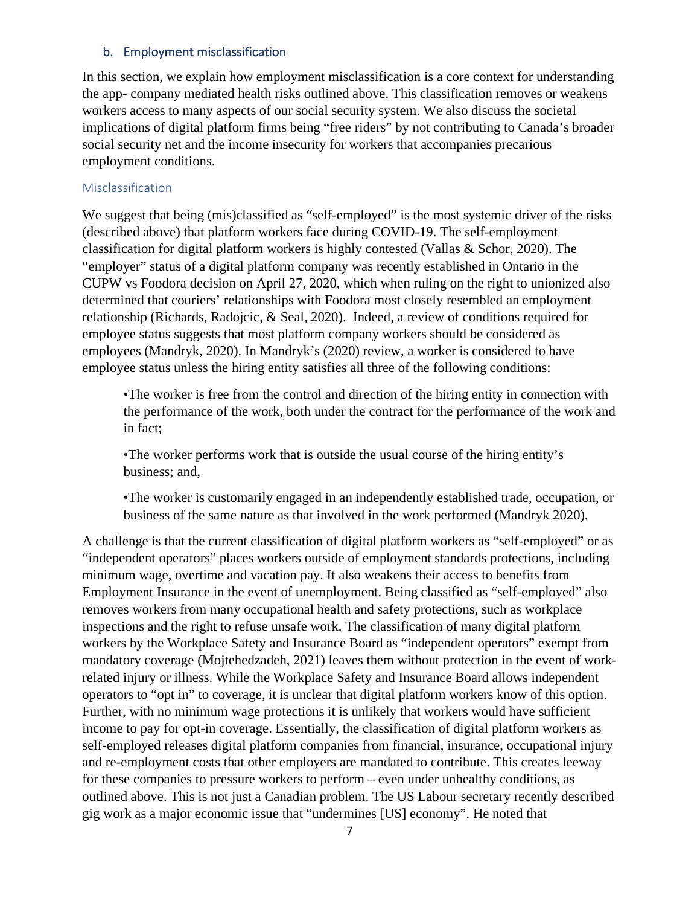# <span id="page-6-0"></span>b. Employment misclassification

In this section, we explain how employment misclassification is a core context for understanding the app- company mediated health risks outlined above. This classification removes or weakens workers access to many aspects of our social security system. We also discuss the societal implications of digital platform firms being "free riders" by not contributing to Canada's broader social security net and the income insecurity for workers that accompanies precarious employment conditions.

#### Misclassification

We suggest that being (mis)classified as "self-employed" is the most systemic driver of the risks (described above) that platform workers face during COVID-19. The self-employment classification for digital platform workers is highly contested (Vallas & Schor, 2020). The "employer" status of a digital platform company was recently established in Ontario in the CUPW vs Foodora decision on April 27, 2020, which when ruling on the right to unionized also determined that couriers' relationships with Foodora most closely resembled an employment relationship (Richards, Radojcic, & Seal, 2020). Indeed, a review of conditions required for employee status suggests that most platform company workers should be considered as employees (Mandryk, 2020). In Mandryk's (2020) review, a worker is considered to have employee status unless the hiring entity satisfies all three of the following conditions:

•The worker is free from the control and direction of the hiring entity in connection with the performance of the work, both under the contract for the performance of the work and in fact;

•The worker performs work that is outside the usual course of the hiring entity's business; and,

•The worker is customarily engaged in an independently established trade, occupation, or business of the same nature as that involved in the work performed (Mandryk 2020).

A challenge is that the current classification of digital platform workers as "self-employed" or as "independent operators" places workers outside of employment standards protections, including minimum wage, overtime and vacation pay. It also weakens their access to benefits from Employment Insurance in the event of unemployment. Being classified as "self-employed" also removes workers from many occupational health and safety protections, such as workplace inspections and the right to refuse unsafe work. The classification of many digital platform workers by the Workplace Safety and Insurance Board as "independent operators" exempt from mandatory coverage (Mojtehedzadeh, 2021) leaves them without protection in the event of workrelated injury or illness. While the Workplace Safety and Insurance Board allows independent operators to "opt in" to coverage, it is unclear that digital platform workers know of this option. Further, with no minimum wage protections it is unlikely that workers would have sufficient income to pay for opt-in coverage. Essentially, the classification of digital platform workers as self-employed releases digital platform companies from financial, insurance, occupational injury and re-employment costs that other employers are mandated to contribute. This creates leeway for these companies to pressure workers to perform – even under unhealthy conditions, as outlined above. This is not just a Canadian problem. The US Labour secretary recently described gig work as a major economic issue that "undermines [US] economy". He noted that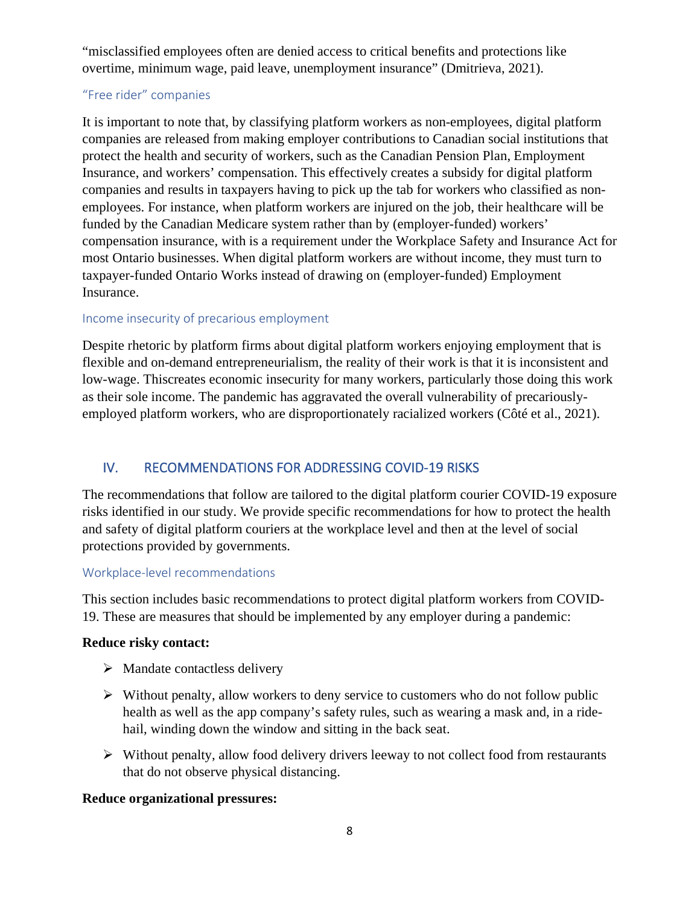"misclassified employees often are denied access to critical benefits and protections like overtime, minimum wage, paid leave, unemployment insurance" (Dmitrieva, 2021).

# "Free rider" companies

It is important to note that, by classifying platform workers as non-employees, digital platform companies are released from making employer contributions to Canadian social institutions that protect the health and security of workers, such as the Canadian Pension Plan, Employment Insurance, and workers' compensation. This effectively creates a subsidy for digital platform companies and results in taxpayers having to pick up the tab for workers who classified as nonemployees. For instance, when platform workers are injured on the job, their healthcare will be funded by the Canadian Medicare system rather than by (employer-funded) workers' compensation insurance, with is a requirement under the Workplace Safety and Insurance Act for most Ontario businesses. When digital platform workers are without income, they must turn to taxpayer-funded Ontario Works instead of drawing on (employer-funded) Employment Insurance.

# Income insecurity of precarious employment

Despite rhetoric by platform firms about digital platform workers enjoying employment that is flexible and on-demand entrepreneurialism, the reality of their work is that it is inconsistent and low-wage. Thiscreates economic insecurity for many workers, particularly those doing this work as their sole income. The pandemic has aggravated the overall vulnerability of precariouslyemployed platform workers, who are disproportionately racialized workers (Côté et al., 2021).

# <span id="page-7-0"></span>IV. RECOMMENDATIONS FOR ADDRESSING COVID-19 RISKS

The recommendations that follow are tailored to the digital platform courier COVID-19 exposure risks identified in our study. We provide specific recommendations for how to protect the health and safety of digital platform couriers at the workplace level and then at the level of social protections provided by governments.

# Workplace-level recommendations

This section includes basic recommendations to protect digital platform workers from COVID-19. These are measures that should be implemented by any employer during a pandemic:

# **Reduce risky contact:**

- $\triangleright$  Mandate contactless delivery
- $\triangleright$  Without penalty, allow workers to deny service to customers who do not follow public health as well as the app company's safety rules, such as wearing a mask and, in a ridehail, winding down the window and sitting in the back seat.
- $\triangleright$  Without penalty, allow food delivery drivers leeway to not collect food from restaurants that do not observe physical distancing.

# **Reduce organizational pressures:**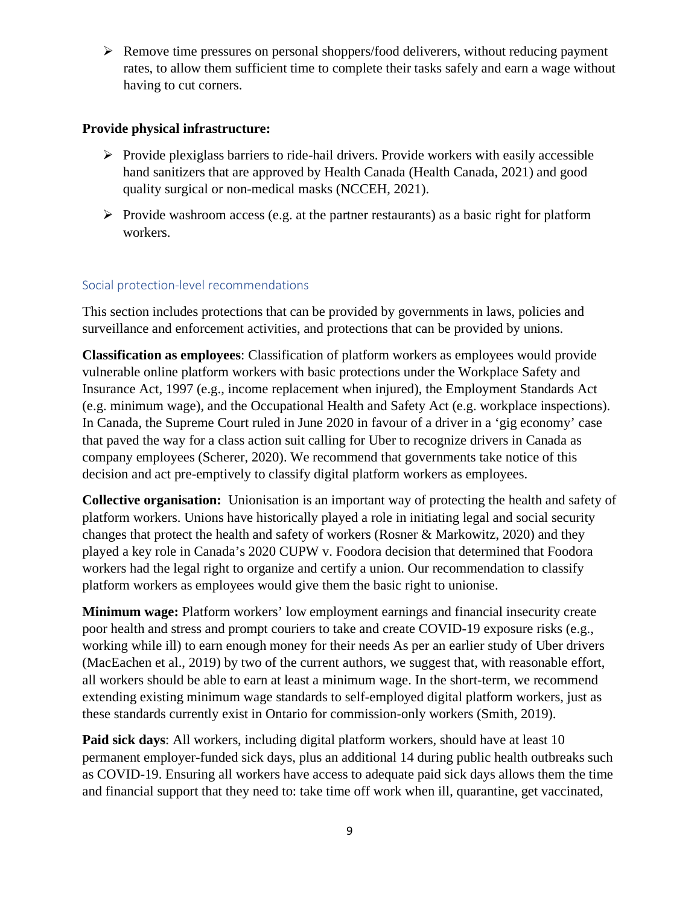$\triangleright$  Remove time pressures on personal shoppers/food deliverers, without reducing payment rates, to allow them sufficient time to complete their tasks safely and earn a wage without having to cut corners.

# **Provide physical infrastructure:**

- $\triangleright$  Provide plexiglass barriers to ride-hail drivers. Provide workers with easily accessible hand sanitizers that are approved by Health Canada (Health Canada, 2021) and good quality surgical or non-medical masks (NCCEH, 2021).
- $\triangleright$  Provide washroom access (e.g. at the partner restaurants) as a basic right for platform workers.

# Social protection-level recommendations

This section includes protections that can be provided by governments in laws, policies and surveillance and enforcement activities, and protections that can be provided by unions.

**Classification as employees**: Classification of platform workers as employees would provide vulnerable online platform workers with basic protections under the Workplace Safety and Insurance Act, 1997 (e.g., income replacement when injured), the Employment Standards Act (e.g. minimum wage), and the Occupational Health and Safety Act (e.g. workplace inspections). In Canada, the Supreme Court ruled in June 2020 in favour of a driver in a 'gig economy' case that paved the way for a class action suit calling for Uber to recognize drivers in Canada as company employees (Scherer, 2020). We recommend that governments take notice of this decision and act pre-emptively to classify digital platform workers as employees.

**Collective organisation:** Unionisation is an important way of protecting the health and safety of platform workers. Unions have historically played a role in initiating legal and social security changes that protect the health and safety of workers (Rosner & Markowitz, 2020) and they played a key role in Canada's 2020 CUPW v. Foodora decision that determined that Foodora workers had the legal right to organize and certify a union. Our recommendation to classify platform workers as employees would give them the basic right to unionise.

**Minimum wage:** Platform workers' low employment earnings and financial insecurity create poor health and stress and prompt couriers to take and create COVID-19 exposure risks (e.g., working while ill) to earn enough money for their needs As per an earlier study of Uber drivers (MacEachen et al., 2019) by two of the current authors, we suggest that, with reasonable effort, all workers should be able to earn at least a minimum wage. In the short-term, we recommend extending existing minimum wage standards to self-employed digital platform workers, just as these standards currently exist in Ontario for commission-only workers (Smith, 2019).

**Paid sick days**: All workers, including digital platform workers, should have at least 10 permanent employer-funded sick days, plus an additional 14 during public health outbreaks such as COVID-19. Ensuring all workers have access to adequate paid sick days allows them the time and financial support that they need to: take time off work when ill, quarantine, get vaccinated,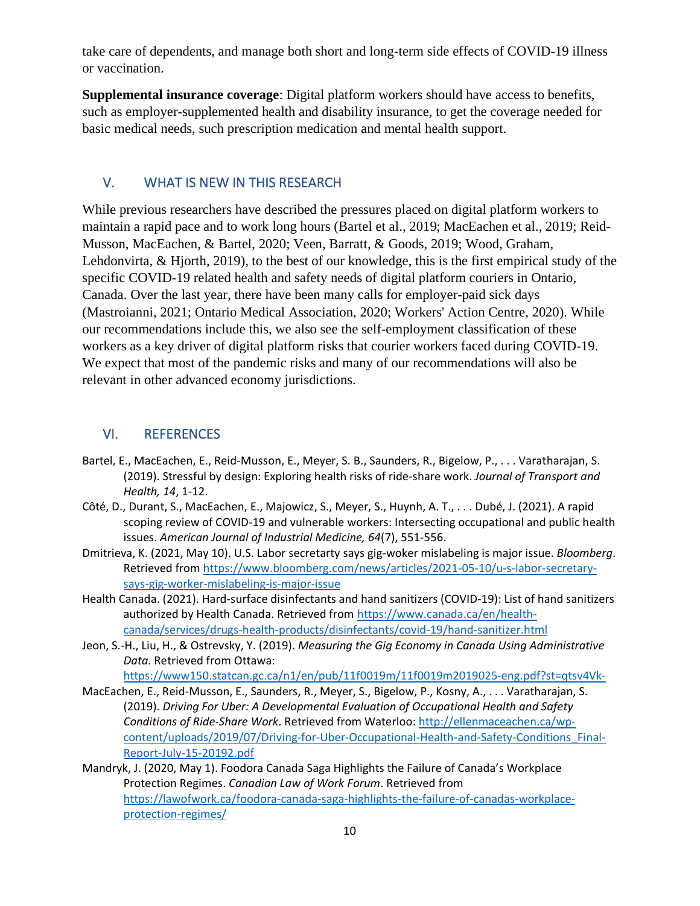take care of dependents, and manage both short and long-term side effects of COVID-19 illness or vaccination.

**Supplemental insurance coverage**: Digital platform workers should have access to benefits, such as employer-supplemented health and disability insurance, to get the coverage needed for basic medical needs, such prescription medication and mental health support.

# <span id="page-9-0"></span>V. WHAT IS NEW IN THIS RESEARCH

While previous researchers have described the pressures placed on digital platform workers to maintain a rapid pace and to work long hours (Bartel et al., 2019; MacEachen et al., 2019; Reid-Musson, MacEachen, & Bartel, 2020; Veen, Barratt, & Goods, 2019; Wood, Graham, Lehdonvirta, & Hjorth, 2019), to the best of our knowledge, this is the first empirical study of the specific COVID-19 related health and safety needs of digital platform couriers in Ontario, Canada. Over the last year, there have been many calls for employer-paid sick days (Mastroianni, 2021; Ontario Medical Association, 2020; Workers' Action Centre, 2020). While our recommendations include this, we also see the self-employment classification of these workers as a key driver of digital platform risks that courier workers faced during COVID-19. We expect that most of the pandemic risks and many of our recommendations will also be relevant in other advanced economy jurisdictions.

# <span id="page-9-1"></span>VI. REFERENCES

- Bartel, E., MacEachen, E., Reid-Musson, E., Meyer, S. B., Saunders, R., Bigelow, P., . . . Varatharajan, S. (2019). Stressful by design: Exploring health risks of ride-share work. *Journal of Transport and Health, 14*, 1-12.
- Côté, D., Durant, S., MacEachen, E., Majowicz, S., Meyer, S., Huynh, A. T., . . . Dubé, J. (2021). A rapid scoping review of COVID-19 and vulnerable workers: Intersecting occupational and public health issues. *American Journal of Industrial Medicine, 64*(7), 551-556.
- Dmitrieva, K. (2021, May 10). U.S. Labor secretarty says gig-woker mislabeling is major issue. *Bloomberg*. Retrieved from [https://www.bloomberg.com/news/articles/2021-05-10/u-s-labor-secretary](https://www.bloomberg.com/news/articles/2021-05-10/u-s-labor-secretary-says-gig-worker-mislabeling-is-major-issue)[says-gig-worker-mislabeling-is-major-issue](https://www.bloomberg.com/news/articles/2021-05-10/u-s-labor-secretary-says-gig-worker-mislabeling-is-major-issue)
- Health Canada. (2021). Hard-surface disinfectants and hand sanitizers (COVID-19): List of hand sanitizers authorized by Health Canada. Retrieved from [https://www.canada.ca/en/health](https://www.canada.ca/en/health-canada/services/drugs-health-products/disinfectants/covid-19/hand-sanitizer.html)[canada/services/drugs-health-products/disinfectants/covid-19/hand-sanitizer.html](https://www.canada.ca/en/health-canada/services/drugs-health-products/disinfectants/covid-19/hand-sanitizer.html)
- Jeon, S.-H., Liu, H., & Ostrevsky, Y. (2019). *Measuring the Gig Economy in Canada Using Administrative Data*. Retrieved from Ottawa:

<https://www150.statcan.gc.ca/n1/en/pub/11f0019m/11f0019m2019025-eng.pdf?st=qtsv4Vk->

- MacEachen, E., Reid-Musson, E., Saunders, R., Meyer, S., Bigelow, P., Kosny, A., . . . Varatharajan, S. (2019). *Driving For Uber: A Developmental Evaluation of Occupational Health and Safety Conditions of Ride-Share Work*. Retrieved from Waterloo: [http://ellenmaceachen.ca/wp](http://ellenmaceachen.ca/wp-content/uploads/2019/07/Driving-for-Uber-Occupational-Health-and-Safety-Conditions_Final-Report-July-15-20192.pdf)[content/uploads/2019/07/Driving-for-Uber-Occupational-Health-and-Safety-Conditions\\_Final-](http://ellenmaceachen.ca/wp-content/uploads/2019/07/Driving-for-Uber-Occupational-Health-and-Safety-Conditions_Final-Report-July-15-20192.pdf)[Report-July-15-20192.pdf](http://ellenmaceachen.ca/wp-content/uploads/2019/07/Driving-for-Uber-Occupational-Health-and-Safety-Conditions_Final-Report-July-15-20192.pdf)
- Mandryk, J. (2020, May 1). Foodora Canada Saga Highlights the Failure of Canada's Workplace Protection Regimes. *Canadian Law of Work Forum*. Retrieved from [https://lawofwork.ca/foodora-canada-saga-highlights-the-failure-of-canadas-workplace](https://lawofwork.ca/foodora-canada-saga-highlights-the-failure-of-canadas-workplace-protection-regimes/)[protection-regimes/](https://lawofwork.ca/foodora-canada-saga-highlights-the-failure-of-canadas-workplace-protection-regimes/)